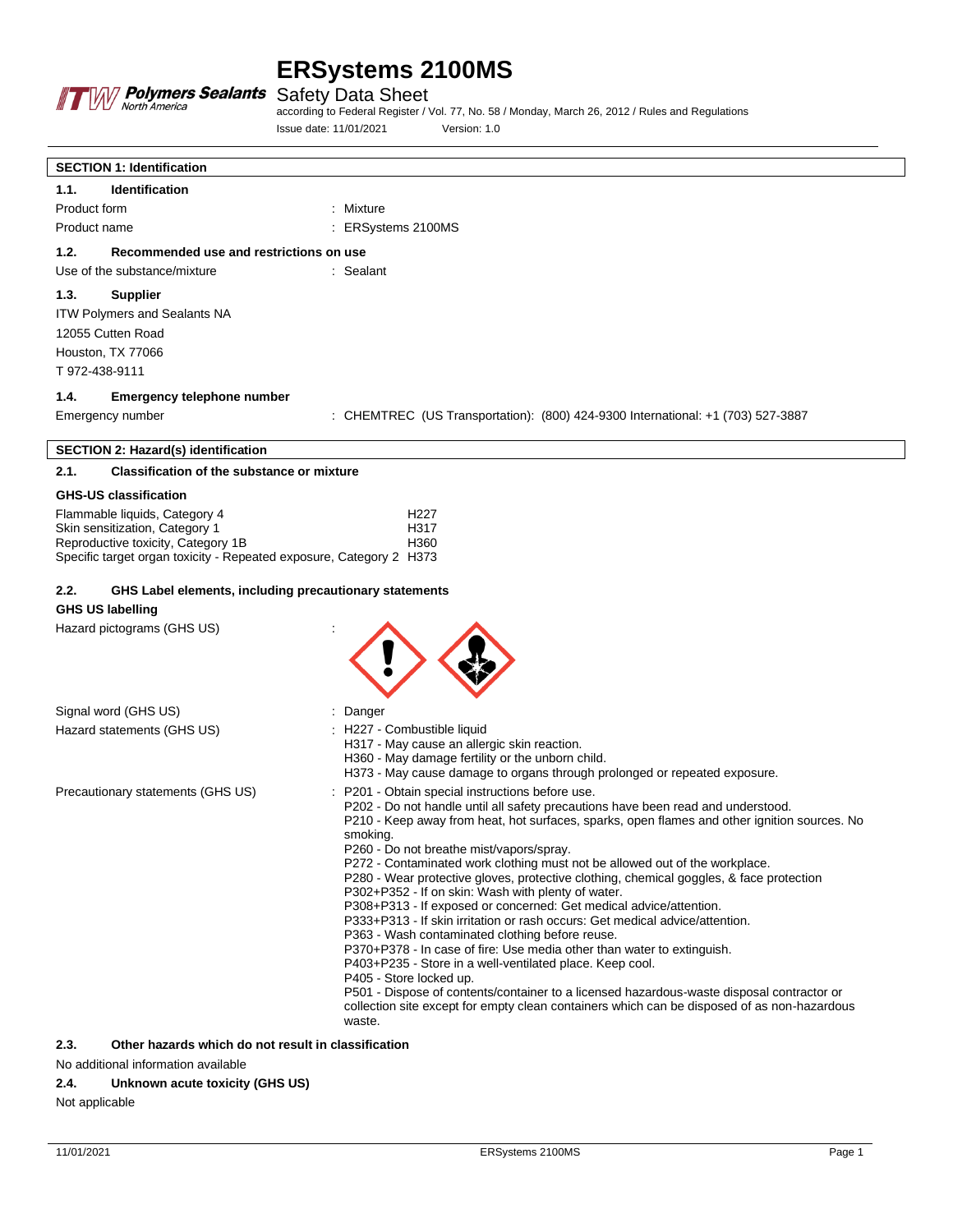

Safety Data Sheet

according to Federal Register / Vol. 77, No. 58 / Monday, March 26, 2012 / Rules and Regulations Issue date: 11/01/2021 Version: 1.0

| <b>SECTION 1: Identification</b>                                                                                                                                                                                                                                                                                                                                                                                                                                                                                                                                                                                                                                                                                                                                                                                                                                                                                                                                                                                                                                                                                                                |                                                                                                                                                                                                             |
|-------------------------------------------------------------------------------------------------------------------------------------------------------------------------------------------------------------------------------------------------------------------------------------------------------------------------------------------------------------------------------------------------------------------------------------------------------------------------------------------------------------------------------------------------------------------------------------------------------------------------------------------------------------------------------------------------------------------------------------------------------------------------------------------------------------------------------------------------------------------------------------------------------------------------------------------------------------------------------------------------------------------------------------------------------------------------------------------------------------------------------------------------|-------------------------------------------------------------------------------------------------------------------------------------------------------------------------------------------------------------|
| <b>Identification</b><br>1.1.                                                                                                                                                                                                                                                                                                                                                                                                                                                                                                                                                                                                                                                                                                                                                                                                                                                                                                                                                                                                                                                                                                                   |                                                                                                                                                                                                             |
| Product form                                                                                                                                                                                                                                                                                                                                                                                                                                                                                                                                                                                                                                                                                                                                                                                                                                                                                                                                                                                                                                                                                                                                    | : Mixture                                                                                                                                                                                                   |
| Product name                                                                                                                                                                                                                                                                                                                                                                                                                                                                                                                                                                                                                                                                                                                                                                                                                                                                                                                                                                                                                                                                                                                                    | : ERSystems 2100MS                                                                                                                                                                                          |
| Recommended use and restrictions on use<br>1.2.                                                                                                                                                                                                                                                                                                                                                                                                                                                                                                                                                                                                                                                                                                                                                                                                                                                                                                                                                                                                                                                                                                 |                                                                                                                                                                                                             |
| Use of the substance/mixture                                                                                                                                                                                                                                                                                                                                                                                                                                                                                                                                                                                                                                                                                                                                                                                                                                                                                                                                                                                                                                                                                                                    | : Sealant                                                                                                                                                                                                   |
| 1.3.<br>Supplier<br><b>ITW Polymers and Sealants NA</b><br>12055 Cutten Road<br>Houston, TX 77066<br>T 972-438-9111                                                                                                                                                                                                                                                                                                                                                                                                                                                                                                                                                                                                                                                                                                                                                                                                                                                                                                                                                                                                                             |                                                                                                                                                                                                             |
| 1.4.<br>Emergency telephone number                                                                                                                                                                                                                                                                                                                                                                                                                                                                                                                                                                                                                                                                                                                                                                                                                                                                                                                                                                                                                                                                                                              |                                                                                                                                                                                                             |
| Emergency number                                                                                                                                                                                                                                                                                                                                                                                                                                                                                                                                                                                                                                                                                                                                                                                                                                                                                                                                                                                                                                                                                                                                | : CHEMTREC (US Transportation): (800) 424-9300 International: +1 (703) 527-3887                                                                                                                             |
| <b>SECTION 2: Hazard(s) identification</b>                                                                                                                                                                                                                                                                                                                                                                                                                                                                                                                                                                                                                                                                                                                                                                                                                                                                                                                                                                                                                                                                                                      |                                                                                                                                                                                                             |
| <b>Classification of the substance or mixture</b><br>2.1.                                                                                                                                                                                                                                                                                                                                                                                                                                                                                                                                                                                                                                                                                                                                                                                                                                                                                                                                                                                                                                                                                       |                                                                                                                                                                                                             |
| <b>GHS-US classification</b>                                                                                                                                                                                                                                                                                                                                                                                                                                                                                                                                                                                                                                                                                                                                                                                                                                                                                                                                                                                                                                                                                                                    |                                                                                                                                                                                                             |
| Flammable liquids, Category 4<br>Skin sensitization, Category 1<br>Reproductive toxicity, Category 1B<br>Specific target organ toxicity - Repeated exposure, Category 2 H373                                                                                                                                                                                                                                                                                                                                                                                                                                                                                                                                                                                                                                                                                                                                                                                                                                                                                                                                                                    | H <sub>227</sub><br>H317<br>H360                                                                                                                                                                            |
| 2.2.<br>GHS Label elements, including precautionary statements<br><b>GHS US labelling</b>                                                                                                                                                                                                                                                                                                                                                                                                                                                                                                                                                                                                                                                                                                                                                                                                                                                                                                                                                                                                                                                       |                                                                                                                                                                                                             |
| Hazard pictograms (GHS US)                                                                                                                                                                                                                                                                                                                                                                                                                                                                                                                                                                                                                                                                                                                                                                                                                                                                                                                                                                                                                                                                                                                      |                                                                                                                                                                                                             |
| Signal word (GHS US)                                                                                                                                                                                                                                                                                                                                                                                                                                                                                                                                                                                                                                                                                                                                                                                                                                                                                                                                                                                                                                                                                                                            | : Danger                                                                                                                                                                                                    |
| Hazard statements (GHS US)                                                                                                                                                                                                                                                                                                                                                                                                                                                                                                                                                                                                                                                                                                                                                                                                                                                                                                                                                                                                                                                                                                                      | : H227 - Combustible liquid<br>H317 - May cause an allergic skin reaction.<br>H360 - May damage fertility or the unborn child.<br>H373 - May cause damage to organs through prolonged or repeated exposure. |
| P201 - Obtain special instructions before use.<br>Precautionary statements (GHS US)<br>P202 - Do not handle until all safety precautions have been read and understood.<br>P210 - Keep away from heat, hot surfaces, sparks, open flames and other ignition sources. No<br>smoking.<br>P260 - Do not breathe mist/vapors/spray.<br>P272 - Contaminated work clothing must not be allowed out of the workplace.<br>P280 - Wear protective gloves, protective clothing, chemical goggles, & face protection<br>P302+P352 - If on skin: Wash with plenty of water.<br>P308+P313 - If exposed or concerned: Get medical advice/attention.<br>P333+P313 - If skin irritation or rash occurs: Get medical advice/attention.<br>P363 - Wash contaminated clothing before reuse.<br>P370+P378 - In case of fire: Use media other than water to extinguish.<br>P403+P235 - Store in a well-ventilated place. Keep cool.<br>P405 - Store locked up.<br>P501 - Dispose of contents/container to a licensed hazardous-waste disposal contractor or<br>collection site except for empty clean containers which can be disposed of as non-hazardous<br>waste. |                                                                                                                                                                                                             |
| 2.3.<br>Other hazards which do not result in classification                                                                                                                                                                                                                                                                                                                                                                                                                                                                                                                                                                                                                                                                                                                                                                                                                                                                                                                                                                                                                                                                                     |                                                                                                                                                                                                             |

No additional information available

### **2.4. Unknown acute toxicity (GHS US)**

Not applicable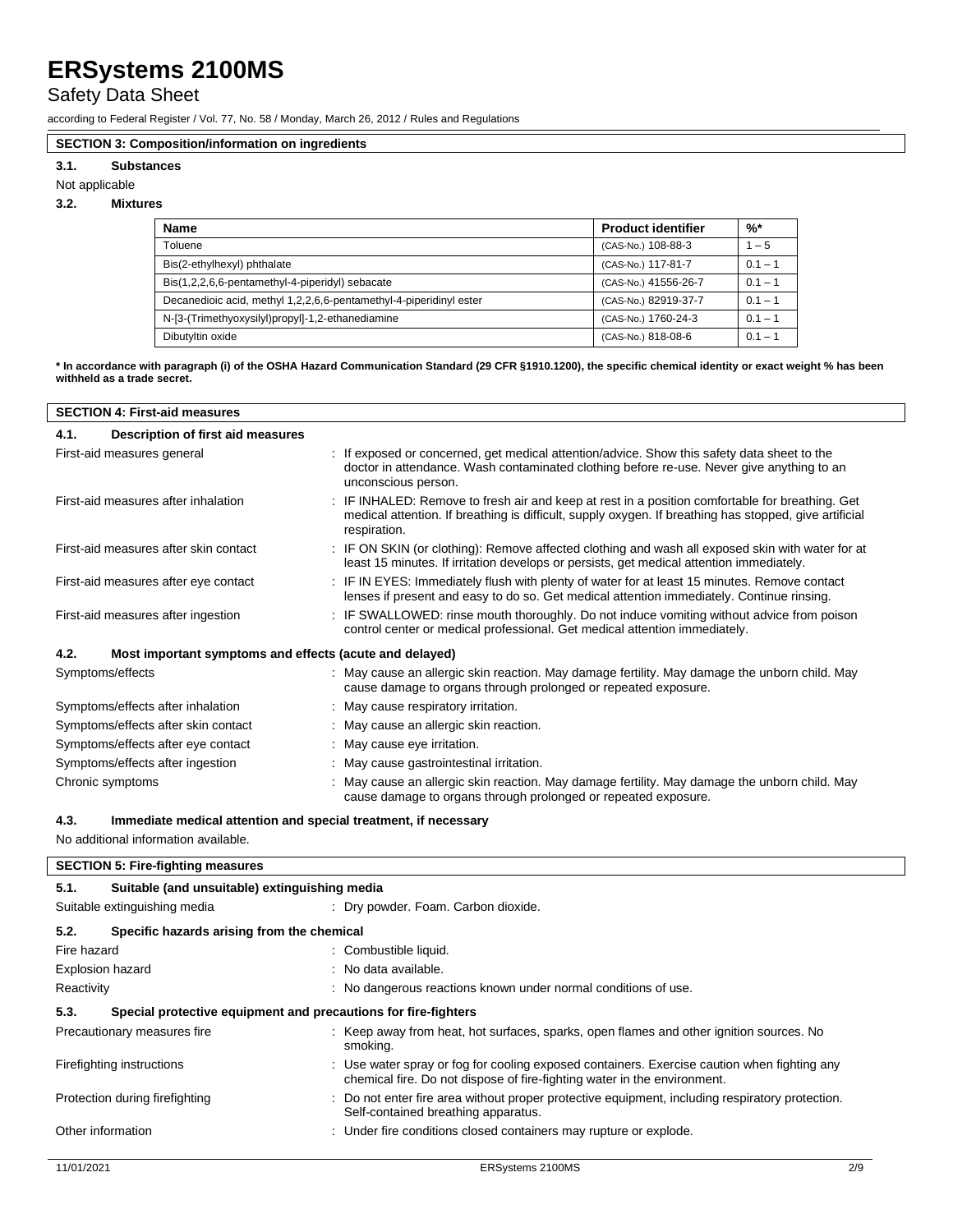## Safety Data Sheet

according to Federal Register / Vol. 77, No. 58 / Monday, March 26, 2012 / Rules and Regulations

### **SECTION 3: Composition/information on ingredients**

### **3.1. Substances**

Not applicable

### **3.2. Mixtures**

| <b>Name</b>                                                        | <b>Product identifier</b> | $\frac{9}{6}$ * |
|--------------------------------------------------------------------|---------------------------|-----------------|
| Toluene                                                            | (CAS-No.) 108-88-3        | $1 - 5$         |
| Bis(2-ethylhexyl) phthalate                                        | (CAS-No.) 117-81-7        | $0.1 - 1$       |
| Bis(1,2,2,6,6-pentamethyl-4-piperidyl) sebacate                    | (CAS-No.) 41556-26-7      | $0.1 - 1$       |
| Decanedioic acid, methyl 1,2,2,6,6-pentamethyl-4-piperidinyl ester | (CAS-No.) 82919-37-7      | $0.1 - 1$       |
| N-[3-(Trimethyoxysilyl)propyl]-1,2-ethanediamine                   | (CAS-No.) 1760-24-3       | $0.1 - 1$       |
| Dibutyltin oxide                                                   | (CAS-No.) 818-08-6        | $0.1 - 1$       |

**\* In accordance with paragraph (i) of the OSHA Hazard Communication Standard (29 CFR §1910.1200), the specific chemical identity or exact weight % has been withheld as a trade secret.**

| <b>SECTION 4: First-aid measures</b>                            |                                                                                                                                                                                                                           |  |
|-----------------------------------------------------------------|---------------------------------------------------------------------------------------------------------------------------------------------------------------------------------------------------------------------------|--|
| Description of first aid measures<br>4.1.                       |                                                                                                                                                                                                                           |  |
| First-aid measures general                                      | : If exposed or concerned, get medical attention/advice. Show this safety data sheet to the<br>doctor in attendance. Wash contaminated clothing before re-use. Never give anything to an<br>unconscious person.           |  |
| First-aid measures after inhalation                             | : IF INHALED: Remove to fresh air and keep at rest in a position comfortable for breathing. Get<br>medical attention. If breathing is difficult, supply oxygen. If breathing has stopped, give artificial<br>respiration. |  |
| First-aid measures after skin contact                           | : IF ON SKIN (or clothing): Remove affected clothing and wash all exposed skin with water for at<br>least 15 minutes. If irritation develops or persists, get medical attention immediately.                              |  |
| First-aid measures after eye contact                            | : IF IN EYES: Immediately flush with plenty of water for at least 15 minutes. Remove contact<br>lenses if present and easy to do so. Get medical attention immediately. Continue rinsing.                                 |  |
| First-aid measures after ingestion                              | : IF SWALLOWED: rinse mouth thoroughly. Do not induce vomiting without advice from poison<br>control center or medical professional. Get medical attention immediately.                                                   |  |
| 4.2.<br>Most important symptoms and effects (acute and delayed) |                                                                                                                                                                                                                           |  |
| Symptoms/effects                                                | : May cause an allergic skin reaction. May damage fertility. May damage the unborn child. May<br>cause damage to organs through prolonged or repeated exposure.                                                           |  |
| Symptoms/effects after inhalation                               | : May cause respiratory irritation.                                                                                                                                                                                       |  |
| Symptoms/effects after skin contact                             | : May cause an allergic skin reaction.                                                                                                                                                                                    |  |
| Symptoms/effects after eye contact                              | : May cause eye irritation.                                                                                                                                                                                               |  |
| Symptoms/effects after ingestion                                | : May cause gastrointestinal irritation.                                                                                                                                                                                  |  |
| Chronic symptoms                                                | : May cause an allergic skin reaction. May damage fertility. May damage the unborn child. May                                                                                                                             |  |

### **4.3. Immediate medical attention and special treatment, if necessary**

### No additional information available.

| <b>SECTION 5: Fire-fighting measures</b> |                                                                |                                                                                                                                                                         |     |
|------------------------------------------|----------------------------------------------------------------|-------------------------------------------------------------------------------------------------------------------------------------------------------------------------|-----|
| 5.1.                                     | Suitable (and unsuitable) extinguishing media                  |                                                                                                                                                                         |     |
| Suitable extinguishing media             |                                                                | : Dry powder. Foam. Carbon dioxide.                                                                                                                                     |     |
| 5.2.                                     | Specific hazards arising from the chemical                     |                                                                                                                                                                         |     |
| Fire hazard                              |                                                                | : Combustible liquid.                                                                                                                                                   |     |
| <b>Explosion hazard</b>                  |                                                                | : No data available.                                                                                                                                                    |     |
| Reactivity                               |                                                                | : No dangerous reactions known under normal conditions of use.                                                                                                          |     |
| 5.3.                                     | Special protective equipment and precautions for fire-fighters |                                                                                                                                                                         |     |
| Precautionary measures fire              |                                                                | : Keep away from heat, hot surfaces, sparks, open flames and other ignition sources. No<br>smoking.                                                                     |     |
| Firefighting instructions                |                                                                | : Use water spray or fog for cooling exposed containers. Exercise caution when fighting any<br>chemical fire. Do not dispose of fire-fighting water in the environment. |     |
| Protection during firefighting           |                                                                | : Do not enter fire area without proper protective equipment, including respiratory protection.<br>Self-contained breathing apparatus.                                  |     |
| Other information                        |                                                                | : Under fire conditions closed containers may rupture or explode.                                                                                                       |     |
|                                          |                                                                |                                                                                                                                                                         |     |
| 11/01/2021                               |                                                                | ERSystems 2100MS                                                                                                                                                        | 2/9 |

cause damage to organs through prolonged or repeated exposure.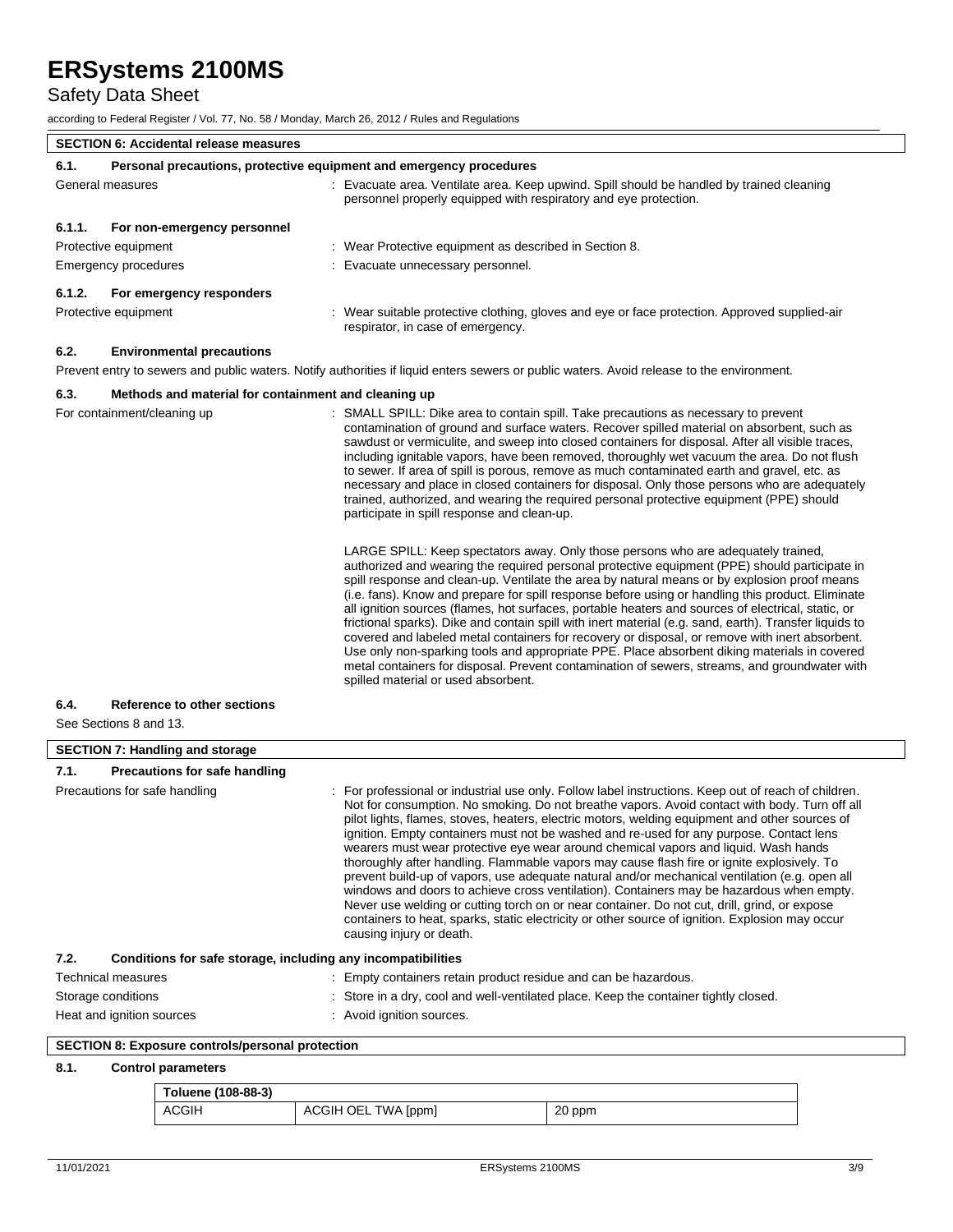# Safety Data Sheet

 $\overline{\phantom{a}}$ 

according to Federal Register / Vol. 77, No. 58 / Monday, March 26, 2012 / Rules and Regulations

|        | <b>SECTION 6: Accidental release measures</b>                       |                                                                                                                                                                                                                                                                                                                                                                                                                                                                                                                                                                                                                                                                                                                                                                                                                                                                                                                                                   |
|--------|---------------------------------------------------------------------|---------------------------------------------------------------------------------------------------------------------------------------------------------------------------------------------------------------------------------------------------------------------------------------------------------------------------------------------------------------------------------------------------------------------------------------------------------------------------------------------------------------------------------------------------------------------------------------------------------------------------------------------------------------------------------------------------------------------------------------------------------------------------------------------------------------------------------------------------------------------------------------------------------------------------------------------------|
| 6.1.   | Personal precautions, protective equipment and emergency procedures |                                                                                                                                                                                                                                                                                                                                                                                                                                                                                                                                                                                                                                                                                                                                                                                                                                                                                                                                                   |
|        | General measures                                                    | : Evacuate area. Ventilate area. Keep upwind. Spill should be handled by trained cleaning<br>personnel properly equipped with respiratory and eye protection.                                                                                                                                                                                                                                                                                                                                                                                                                                                                                                                                                                                                                                                                                                                                                                                     |
| 6.1.1. | For non-emergency personnel                                         |                                                                                                                                                                                                                                                                                                                                                                                                                                                                                                                                                                                                                                                                                                                                                                                                                                                                                                                                                   |
|        | Protective equipment                                                | : Wear Protective equipment as described in Section 8.                                                                                                                                                                                                                                                                                                                                                                                                                                                                                                                                                                                                                                                                                                                                                                                                                                                                                            |
|        | Emergency procedures                                                | Evacuate unnecessary personnel.                                                                                                                                                                                                                                                                                                                                                                                                                                                                                                                                                                                                                                                                                                                                                                                                                                                                                                                   |
| 6.1.2. | For emergency responders                                            |                                                                                                                                                                                                                                                                                                                                                                                                                                                                                                                                                                                                                                                                                                                                                                                                                                                                                                                                                   |
|        | Protective equipment                                                | : Wear suitable protective clothing, gloves and eye or face protection. Approved supplied-air<br>respirator, in case of emergency.                                                                                                                                                                                                                                                                                                                                                                                                                                                                                                                                                                                                                                                                                                                                                                                                                |
| 6.2.   | <b>Environmental precautions</b>                                    |                                                                                                                                                                                                                                                                                                                                                                                                                                                                                                                                                                                                                                                                                                                                                                                                                                                                                                                                                   |
|        |                                                                     | Prevent entry to sewers and public waters. Notify authorities if liquid enters sewers or public waters. Avoid release to the environment.                                                                                                                                                                                                                                                                                                                                                                                                                                                                                                                                                                                                                                                                                                                                                                                                         |
| 6.3.   | Methods and material for containment and cleaning up                |                                                                                                                                                                                                                                                                                                                                                                                                                                                                                                                                                                                                                                                                                                                                                                                                                                                                                                                                                   |
|        | For containment/cleaning up                                         | : SMALL SPILL: Dike area to contain spill. Take precautions as necessary to prevent<br>contamination of ground and surface waters. Recover spilled material on absorbent, such as<br>sawdust or vermiculite, and sweep into closed containers for disposal. After all visible traces,<br>including ignitable vapors, have been removed, thoroughly wet vacuum the area. Do not flush<br>to sewer. If area of spill is porous, remove as much contaminated earth and gravel, etc. as<br>necessary and place in closed containers for disposal. Only those persons who are adequately<br>trained, authorized, and wearing the required personal protective equipment (PPE) should<br>participate in spill response and clean-up.                                                                                                                                                                                                                    |
|        |                                                                     | LARGE SPILL: Keep spectators away. Only those persons who are adequately trained,<br>authorized and wearing the required personal protective equipment (PPE) should participate in<br>spill response and clean-up. Ventilate the area by natural means or by explosion proof means<br>(i.e. fans). Know and prepare for spill response before using or handling this product. Eliminate<br>all ignition sources (flames, hot surfaces, portable heaters and sources of electrical, static, or<br>frictional sparks). Dike and contain spill with inert material (e.g. sand, earth). Transfer liquids to<br>covered and labeled metal containers for recovery or disposal, or remove with inert absorbent.<br>Use only non-sparking tools and appropriate PPE. Place absorbent diking materials in covered<br>metal containers for disposal. Prevent contamination of sewers, streams, and groundwater with<br>spilled material or used absorbent. |

### **6.4. Reference to other sections**

See Sections 8 and 13.

| <b>SECTION 7: Handling and storage</b> |                                                              |                                                                                                                                                                                                                                                                                                                                                                                                                                                                                                                                                                                                                                                                                                                                                                                                                                                                                                                                                                                                                     |
|----------------------------------------|--------------------------------------------------------------|---------------------------------------------------------------------------------------------------------------------------------------------------------------------------------------------------------------------------------------------------------------------------------------------------------------------------------------------------------------------------------------------------------------------------------------------------------------------------------------------------------------------------------------------------------------------------------------------------------------------------------------------------------------------------------------------------------------------------------------------------------------------------------------------------------------------------------------------------------------------------------------------------------------------------------------------------------------------------------------------------------------------|
| 7.1.                                   | Precautions for safe handling                                |                                                                                                                                                                                                                                                                                                                                                                                                                                                                                                                                                                                                                                                                                                                                                                                                                                                                                                                                                                                                                     |
| Precautions for safe handling          |                                                              | : For professional or industrial use only. Follow label instructions. Keep out of reach of children.<br>Not for consumption. No smoking. Do not breathe vapors. Avoid contact with body. Turn off all<br>pilot lights, flames, stoves, heaters, electric motors, welding equipment and other sources of<br>ignition. Empty containers must not be washed and re-used for any purpose. Contact lens<br>wearers must wear protective eye wear around chemical vapors and liquid. Wash hands<br>thoroughly after handling. Flammable vapors may cause flash fire or ignite explosively. To<br>prevent build-up of vapors, use adequate natural and/or mechanical ventilation (e.g. open all<br>windows and doors to achieve cross ventilation). Containers may be hazardous when empty.<br>Never use welding or cutting torch on or near container. Do not cut, drill, grind, or expose<br>containers to heat, sparks, static electricity or other source of ignition. Explosion may occur<br>causing injury or death. |
| 7.2.                                   | Conditions for safe storage, including any incompatibilities |                                                                                                                                                                                                                                                                                                                                                                                                                                                                                                                                                                                                                                                                                                                                                                                                                                                                                                                                                                                                                     |
|                                        | Technical measures                                           | : Empty containers retain product residue and can be hazardous.                                                                                                                                                                                                                                                                                                                                                                                                                                                                                                                                                                                                                                                                                                                                                                                                                                                                                                                                                     |
|                                        | Storage conditions                                           | : Store in a dry, cool and well-ventilated place. Keep the container tightly closed.                                                                                                                                                                                                                                                                                                                                                                                                                                                                                                                                                                                                                                                                                                                                                                                                                                                                                                                                |
|                                        | Heat and ignition sources                                    | : Avoid ignition sources.                                                                                                                                                                                                                                                                                                                                                                                                                                                                                                                                                                                                                                                                                                                                                                                                                                                                                                                                                                                           |

## **SECTION 8: Exposure controls/personal protection**

### **8.1. Control parameters**

| Toluene (108-88-3) |                     |        |
|--------------------|---------------------|--------|
| ACGIH              | ACGIH OEL TWA [ppm] | 20 ppm |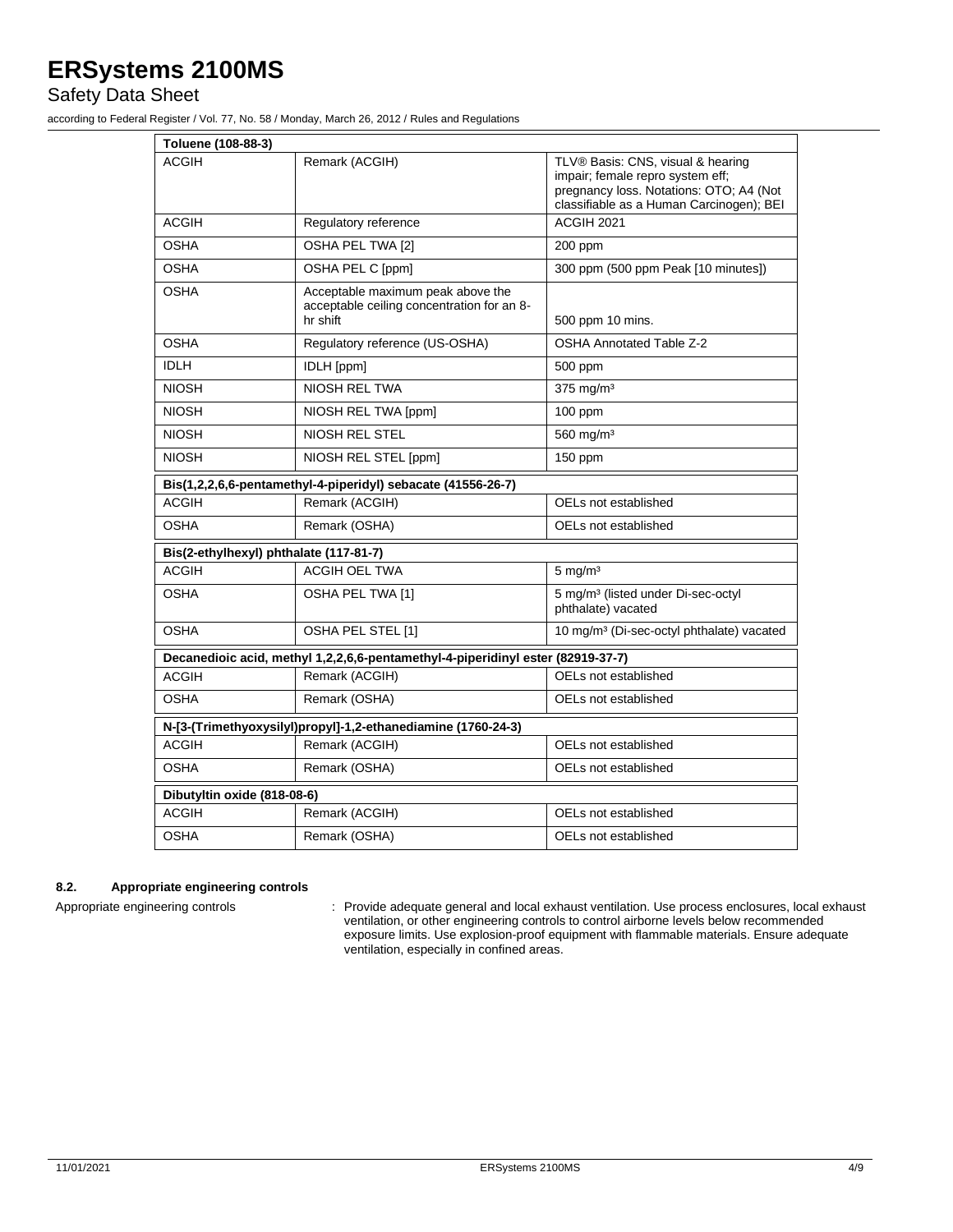Safety Data Sheet

according to Federal Register / Vol. 77, No. 58 / Monday, March 26, 2012 / Rules and Regulations

| Toluene (108-88-3)                     |                                                                                             |                                                                                                                                                              |
|----------------------------------------|---------------------------------------------------------------------------------------------|--------------------------------------------------------------------------------------------------------------------------------------------------------------|
| ACGIH                                  | Remark (ACGIH)                                                                              | TLV® Basis: CNS, visual & hearing<br>impair; female repro system eff;<br>pregnancy loss. Notations: OTO; A4 (Not<br>classifiable as a Human Carcinogen); BEI |
| <b>ACGIH</b>                           | Regulatory reference                                                                        | ACGIH 2021                                                                                                                                                   |
| <b>OSHA</b>                            | OSHA PEL TWA [2]                                                                            | 200 ppm                                                                                                                                                      |
| <b>OSHA</b>                            | OSHA PEL C [ppm]                                                                            | 300 ppm (500 ppm Peak [10 minutes])                                                                                                                          |
| OSHA                                   | Acceptable maximum peak above the<br>acceptable ceiling concentration for an 8-<br>hr shift | 500 ppm 10 mins.                                                                                                                                             |
| <b>OSHA</b>                            | Regulatory reference (US-OSHA)                                                              | <b>OSHA Annotated Table Z-2</b>                                                                                                                              |
| <b>IDLH</b>                            | <b>IDLH</b> [ppm]                                                                           | 500 ppm                                                                                                                                                      |
| <b>NIOSH</b>                           | NIOSH REL TWA                                                                               | $375$ mg/m <sup>3</sup>                                                                                                                                      |
| <b>NIOSH</b>                           | NIOSH REL TWA [ppm]                                                                         | $100$ ppm                                                                                                                                                    |
| <b>NIOSH</b>                           | <b>NIOSH REL STEL</b>                                                                       | 560 mg/m <sup>3</sup>                                                                                                                                        |
| <b>NIOSH</b>                           | NIOSH REL STEL [ppm]                                                                        | 150 ppm                                                                                                                                                      |
|                                        | Bis(1,2,2,6,6-pentamethyl-4-piperidyl) sebacate (41556-26-7)                                |                                                                                                                                                              |
| <b>ACGIH</b>                           | Remark (ACGIH)                                                                              | OELs not established                                                                                                                                         |
| OSHA                                   | Remark (OSHA)                                                                               | OELs not established                                                                                                                                         |
| Bis(2-ethylhexyl) phthalate (117-81-7) |                                                                                             |                                                                                                                                                              |
| <b>ACGIH</b>                           | <b>ACGIH OEL TWA</b>                                                                        | $5$ mg/m <sup>3</sup>                                                                                                                                        |
| OSHA                                   | OSHA PEL TWA [1]                                                                            | 5 mg/m <sup>3</sup> (listed under Di-sec-octyl<br>phthalate) vacated                                                                                         |
| <b>OSHA</b>                            | OSHA PEL STEL [1]                                                                           | 10 mg/m <sup>3</sup> (Di-sec-octyl phthalate) vacated                                                                                                        |
|                                        | Decanedioic acid, methyl 1,2,2,6,6-pentamethyl-4-piperidinyl ester (82919-37-7)             |                                                                                                                                                              |
| <b>ACGIH</b>                           | Remark (ACGIH)                                                                              | OELs not established                                                                                                                                         |
| OSHA                                   | Remark (OSHA)                                                                               | OELs not established                                                                                                                                         |
|                                        | N-[3-(Trimethyoxysilyl)propyl]-1,2-ethanediamine (1760-24-3)                                |                                                                                                                                                              |
| <b>ACGIH</b>                           | Remark (ACGIH)                                                                              | OELs not established                                                                                                                                         |
| OSHA                                   | Remark (OSHA)                                                                               | OELs not established                                                                                                                                         |
| Dibutyltin oxide (818-08-6)            |                                                                                             |                                                                                                                                                              |
| <b>ACGIH</b>                           | Remark (ACGIH)                                                                              | OELs not established                                                                                                                                         |
| OSHA                                   | Remark (OSHA)                                                                               | OELs not established                                                                                                                                         |
|                                        |                                                                                             |                                                                                                                                                              |

## **8.2. Appropriate engineering controls**

Appropriate engineering controls : Provide adequate general and local exhaust ventilation. Use process enclosures, local exhaust ventilation, or other engineering controls to control airborne levels below recommended exposure limits. Use explosion-proof equipment with flammable materials. Ensure adequate ventilation, especially in confined areas.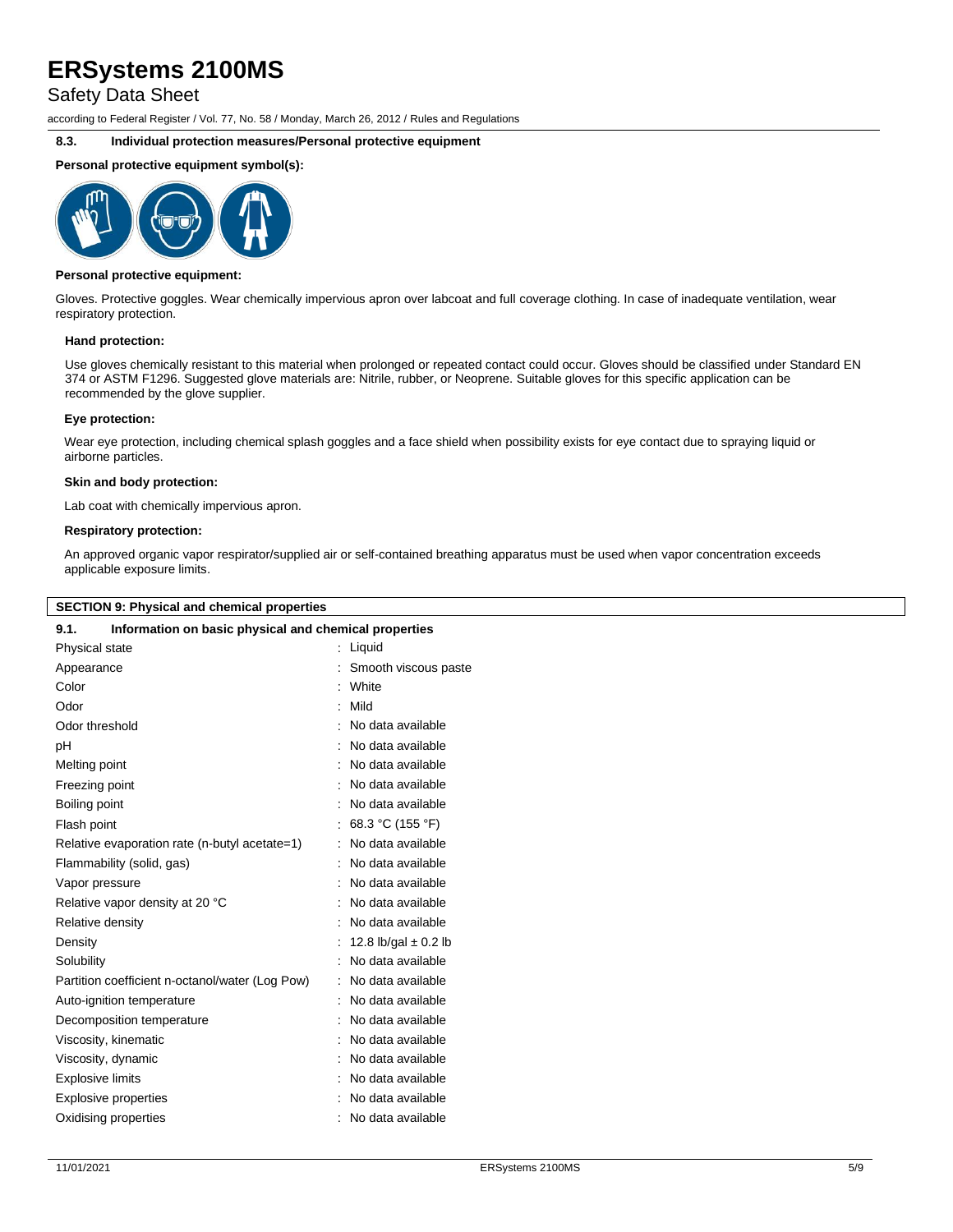Safety Data Sheet

according to Federal Register / Vol. 77, No. 58 / Monday, March 26, 2012 / Rules and Regulations

### **8.3. Individual protection measures/Personal protective equipment**

### **Personal protective equipment symbol(s):**



#### **Personal protective equipment:**

Gloves. Protective goggles. Wear chemically impervious apron over labcoat and full coverage clothing. In case of inadequate ventilation, wear respiratory protection.

### **Hand protection:**

Use gloves chemically resistant to this material when prolonged or repeated contact could occur. Gloves should be classified under Standard EN 374 or ASTM F1296. Suggested glove materials are: Nitrile, rubber, or Neoprene. Suitable gloves for this specific application can be recommended by the glove supplier.

### **Eye protection:**

Wear eye protection, including chemical splash goggles and a face shield when possibility exists for eye contact due to spraying liquid or airborne particles.

#### **Skin and body protection:**

Lab coat with chemically impervious apron.

### **Respiratory protection:**

An approved organic vapor respirator/supplied air or self-contained breathing apparatus must be used when vapor concentration exceeds applicable exposure limits.

| <b>SECTION 9: Physical and chemical properties</b>            |                          |  |
|---------------------------------------------------------------|--------------------------|--|
| 9.1.<br>Information on basic physical and chemical properties |                          |  |
| Physical state                                                | : Liquid                 |  |
| Appearance                                                    | Smooth viscous paste     |  |
| Color                                                         | : White                  |  |
| Odor                                                          | : Mild                   |  |
| Odor threshold                                                | : No data available      |  |
| рH                                                            | No data available        |  |
| Melting point                                                 | No data available        |  |
| Freezing point                                                | No data available        |  |
| Boiling point                                                 | : No data available      |  |
| Flash point                                                   | : 68.3 °C (155 °F)       |  |
| Relative evaporation rate (n-butyl acetate=1)                 | : No data available      |  |
| Flammability (solid, gas)                                     | No data available        |  |
| Vapor pressure                                                | : No data available      |  |
| Relative vapor density at 20 °C                               | : No data available      |  |
| Relative density                                              | : No data available      |  |
| Density                                                       | 12.8 lb/gal $\pm$ 0.2 lb |  |
| Solubility                                                    | No data available        |  |
| Partition coefficient n-octanol/water (Log Pow)               | : No data available      |  |
| Auto-ignition temperature                                     | : No data available      |  |
| Decomposition temperature                                     | : No data available      |  |
| Viscosity, kinematic                                          | No data available        |  |
| Viscosity, dynamic                                            | : No data available      |  |
| <b>Explosive limits</b>                                       | No data available        |  |
| <b>Explosive properties</b>                                   | No data available        |  |
| Oxidising properties                                          | : No data available      |  |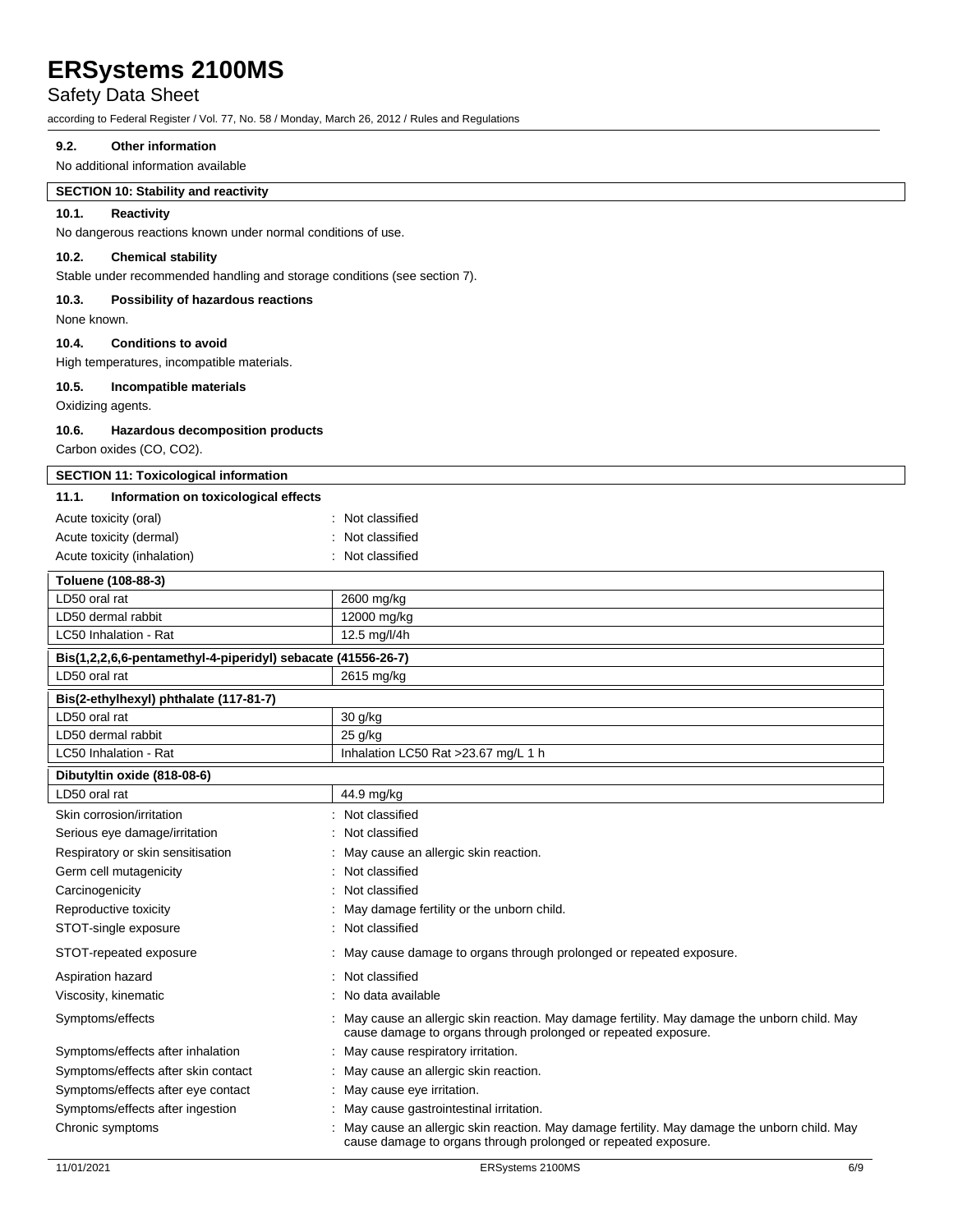## Safety Data Sheet

according to Federal Register / Vol. 77, No. 58 / Monday, March 26, 2012 / Rules and Regulations

## **9.2. Other information**

No additional information available

## **SECTION 10: Stability and reactivity**

### **10.1. Reactivity**

No dangerous reactions known under normal conditions of use.

## **10.2. Chemical stability**

Stable under recommended handling and storage conditions (see section 7).

### **10.3. Possibility of hazardous reactions**

None known.

## **10.4. Conditions to avoid**

High temperatures, incompatible materials.

### **10.5. Incompatible materials**

Oxidizing agents.

### **10.6. Hazardous decomposition products**

Carbon oxides (CO, CO2).

| <b>SECTION 11: Toxicological information</b>                 |                                                                                                                                                               |
|--------------------------------------------------------------|---------------------------------------------------------------------------------------------------------------------------------------------------------------|
| 11.1.<br>Information on toxicological effects                |                                                                                                                                                               |
| Acute toxicity (oral)                                        | : Not classified                                                                                                                                              |
| Acute toxicity (dermal)                                      | : Not classified                                                                                                                                              |
| Acute toxicity (inhalation)                                  | : Not classified                                                                                                                                              |
| Toluene (108-88-3)                                           |                                                                                                                                                               |
| LD50 oral rat                                                | 2600 mg/kg                                                                                                                                                    |
| LD50 dermal rabbit                                           | 12000 mg/kg                                                                                                                                                   |
| LC50 Inhalation - Rat                                        | 12.5 mg/l/4h                                                                                                                                                  |
| Bis(1,2,2,6,6-pentamethyl-4-piperidyl) sebacate (41556-26-7) |                                                                                                                                                               |
| LD50 oral rat                                                | 2615 mg/kg                                                                                                                                                    |
| Bis(2-ethylhexyl) phthalate (117-81-7)                       |                                                                                                                                                               |
| LD50 oral rat                                                | 30 g/kg                                                                                                                                                       |
| LD50 dermal rabbit                                           | 25 g/kg                                                                                                                                                       |
| LC50 Inhalation - Rat                                        | Inhalation LC50 Rat >23.67 mg/L 1 h                                                                                                                           |
| Dibutyltin oxide (818-08-6)                                  |                                                                                                                                                               |
| LD50 oral rat                                                | 44.9 mg/kg                                                                                                                                                    |
| Skin corrosion/irritation                                    | Not classified                                                                                                                                                |
| Serious eye damage/irritation                                | Not classified                                                                                                                                                |
| Respiratory or skin sensitisation                            | May cause an allergic skin reaction.                                                                                                                          |
| Germ cell mutagenicity                                       | : Not classified                                                                                                                                              |
| Carcinogenicity                                              | Not classified                                                                                                                                                |
| Reproductive toxicity                                        | May damage fertility or the unborn child.                                                                                                                     |
| STOT-single exposure                                         | Not classified                                                                                                                                                |
| STOT-repeated exposure                                       | : May cause damage to organs through prolonged or repeated exposure.                                                                                          |
| Aspiration hazard                                            | : Not classified                                                                                                                                              |
| Viscosity, kinematic                                         | No data available                                                                                                                                             |
| Symptoms/effects                                             | May cause an allergic skin reaction. May damage fertility. May damage the unborn child. May<br>cause damage to organs through prolonged or repeated exposure. |
| Symptoms/effects after inhalation                            | : May cause respiratory irritation.                                                                                                                           |
| Symptoms/effects after skin contact                          | : May cause an allergic skin reaction.                                                                                                                        |
| Symptoms/effects after eye contact                           | : May cause eye irritation.                                                                                                                                   |
| Symptoms/effects after ingestion                             | May cause gastrointestinal irritation.                                                                                                                        |
| Chronic symptoms                                             | May cause an allergic skin reaction. May damage fertility. May damage the unborn child. May<br>cause damage to organs through prolonged or repeated exposure. |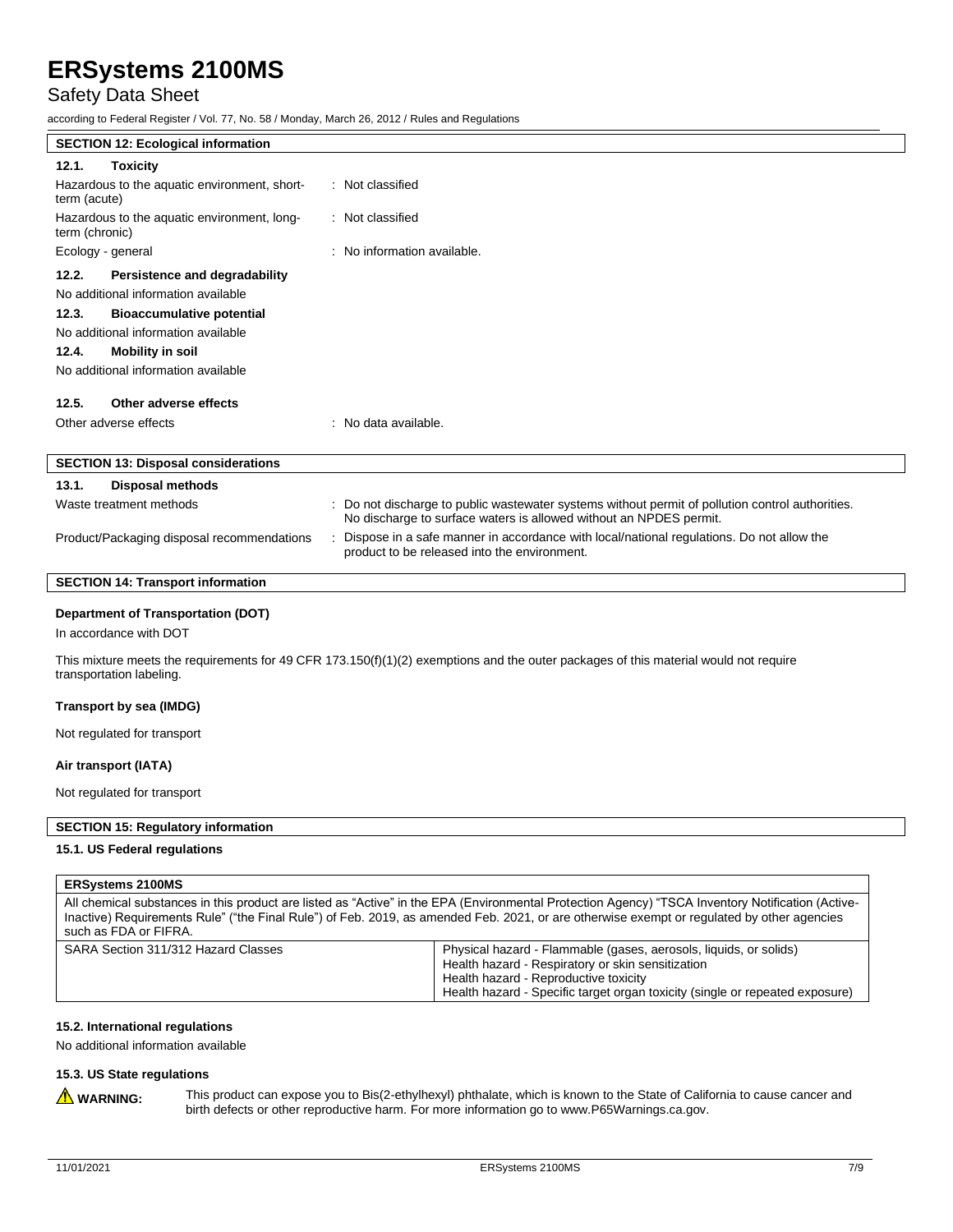## Safety Data Sheet

according to Federal Register / Vol. 77, No. 58 / Monday, March 26, 2012 / Rules and Regulations

| <b>SECTION 12: Ecological information</b>                                                                                                                                                                                                                                      |                                                                                                                                                                      |  |  |
|--------------------------------------------------------------------------------------------------------------------------------------------------------------------------------------------------------------------------------------------------------------------------------|----------------------------------------------------------------------------------------------------------------------------------------------------------------------|--|--|
| 12.1.<br><b>Toxicity</b>                                                                                                                                                                                                                                                       |                                                                                                                                                                      |  |  |
| Hazardous to the aquatic environment, short-<br>term (acute)                                                                                                                                                                                                                   | : Not classified                                                                                                                                                     |  |  |
| Hazardous to the aquatic environment, long-<br>term (chronic)                                                                                                                                                                                                                  | : Not classified                                                                                                                                                     |  |  |
| Ecology - general                                                                                                                                                                                                                                                              | : No information available.                                                                                                                                          |  |  |
| 12.2.<br>Persistence and degradability<br>No additional information available<br>12.3.<br><b>Bioaccumulative potential</b><br>No additional information available<br>12.4.<br><b>Mobility in soil</b><br>No additional information available<br>12.5.<br>Other adverse effects |                                                                                                                                                                      |  |  |
| Other adverse effects                                                                                                                                                                                                                                                          | : No data available.                                                                                                                                                 |  |  |
| <b>SECTION 13: Disposal considerations</b>                                                                                                                                                                                                                                     |                                                                                                                                                                      |  |  |
| <b>Disposal methods</b><br>13.1.                                                                                                                                                                                                                                               |                                                                                                                                                                      |  |  |
| Waste treatment methods                                                                                                                                                                                                                                                        | Do not discharge to public wastewater systems without permit of pollution control authorities.<br>No discharge to surface waters is allowed without an NPDES permit. |  |  |
| Product/Packaging disposal recommendations                                                                                                                                                                                                                                     | Dispose in a safe manner in accordance with local/national regulations. Do not allow the<br>product to be released into the environment.                             |  |  |
| <b>SECTION 14: Transport information</b>                                                                                                                                                                                                                                       |                                                                                                                                                                      |  |  |
| <b>Department of Transportation (DOT)</b>                                                                                                                                                                                                                                      |                                                                                                                                                                      |  |  |

In accordance with DOT

This mixture meets the requirements for 49 CFR 173.150(f)(1)(2) exemptions and the outer packages of this material would not require transportation labeling.

### **Transport by sea (IMDG)**

Not regulated for transport

### **Air transport (IATA)**

Not regulated for transport

### **SECTION 15: Regulatory information**

### **15.1. US Federal regulations**

#### **ERSystems 2100MS**

All chemical substances in this product are listed as "Active" in the EPA (Environmental Protection Agency) "TSCA Inventory Notification (Active-Inactive) Requirements Rule" ("the Final Rule") of Feb. 2019, as amended Feb. 2021, or are otherwise exempt or regulated by other agencies such as FDA or FIFRA.

| SARA Section 311/312 Hazard Classes | Physical hazard - Flammable (gases, aerosols, liquids, or solids)            |
|-------------------------------------|------------------------------------------------------------------------------|
|                                     | Health hazard - Respiratory or skin sensitization                            |
|                                     | Health hazard - Reproductive toxicity                                        |
|                                     | Health hazard - Specific target organ toxicity (single or repeated exposure) |

### **15.2. International regulations**

No additional information available

## **15.3. US State regulations**

WARNING: This product can expose you to Bis(2-ethylhexyl) phthalate, which is known to the State of California to cause cancer and birth defects or other reproductive harm. For more information go to www.P65Warnings.ca.gov.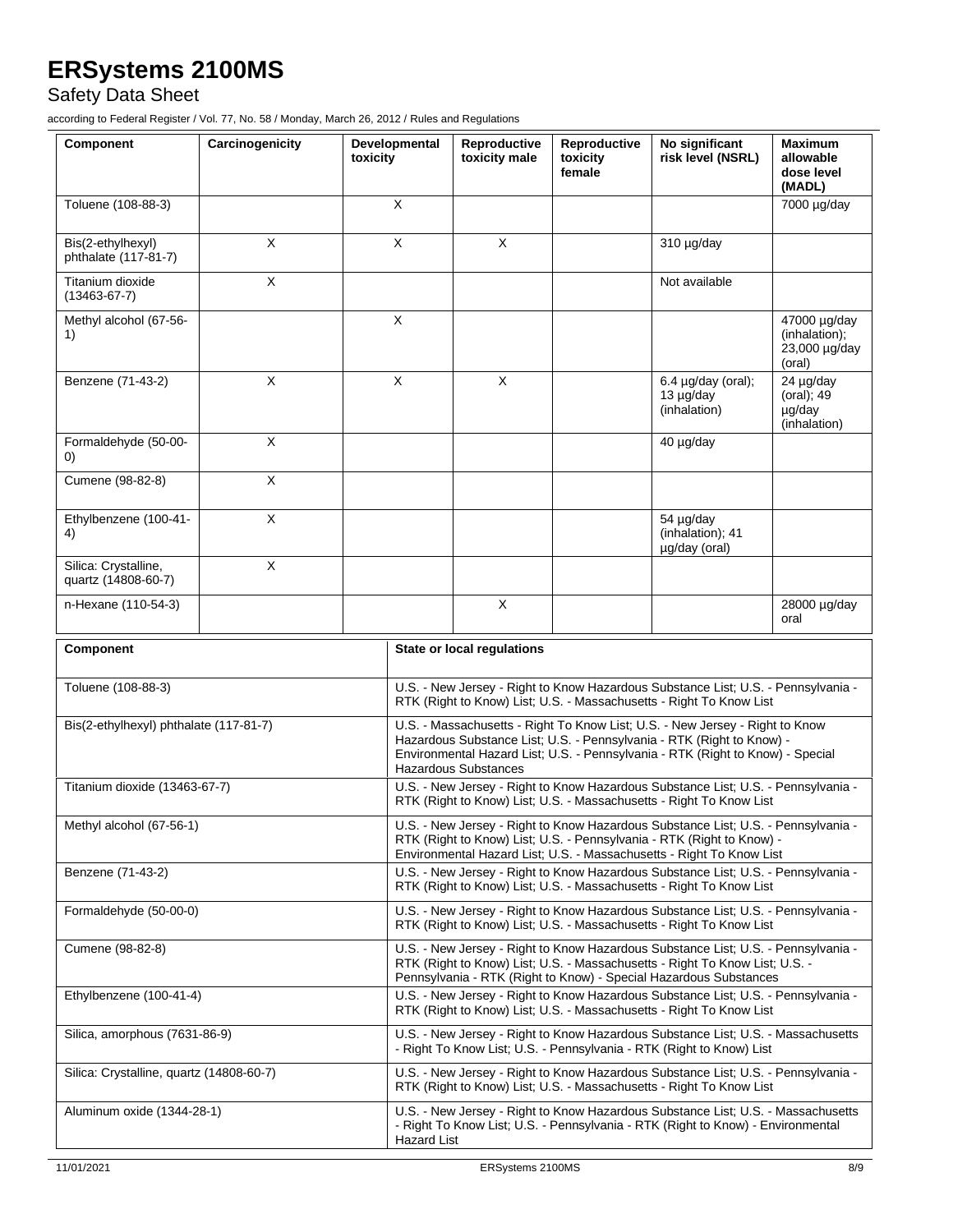Safety Data Sheet

according to Federal Register / Vol. 77, No. 58 / Monday, March 26, 2012 / Rules and Regulations

| Component                                   | Carcinogenicity | Developmental<br>toxicity |                                                                                                                                                                                                                                                                        | Reproductive<br>toxicity male | Reproductive<br>toxicity<br>female | No significant<br>risk level (NSRL)                  | <b>Maximum</b><br>allowable<br>dose level<br>(MADL)      |
|---------------------------------------------|-----------------|---------------------------|------------------------------------------------------------------------------------------------------------------------------------------------------------------------------------------------------------------------------------------------------------------------|-------------------------------|------------------------------------|------------------------------------------------------|----------------------------------------------------------|
| Toluene (108-88-3)                          |                 | X                         |                                                                                                                                                                                                                                                                        |                               |                                    |                                                      | 7000 µg/day                                              |
| Bis(2-ethylhexyl)<br>phthalate (117-81-7)   | X               | X                         |                                                                                                                                                                                                                                                                        | X                             |                                    | $310 \mu g/day$                                      |                                                          |
| Titanium dioxide<br>$(13463 - 67 - 7)$      | X               |                           |                                                                                                                                                                                                                                                                        |                               |                                    | Not available                                        |                                                          |
| Methyl alcohol (67-56-<br>1)                |                 |                           | X                                                                                                                                                                                                                                                                      |                               |                                    |                                                      | 47000 µg/day<br>(inhalation);<br>23,000 µg/day<br>(oral) |
| Benzene (71-43-2)                           | X               |                           | X                                                                                                                                                                                                                                                                      | X                             |                                    | $6.4 \mu g/day$ (oral);<br>13 µg/day<br>(inhalation) | 24 µg/day<br>(oral); 49<br>µg/day<br>(inhalation)        |
| Formaldehyde (50-00-<br>(0)                 | X               |                           |                                                                                                                                                                                                                                                                        |                               |                                    | 40 µg/day                                            |                                                          |
| Cumene (98-82-8)                            | X               |                           |                                                                                                                                                                                                                                                                        |                               |                                    |                                                      |                                                          |
| Ethylbenzene (100-41-<br>4)                 | X               |                           |                                                                                                                                                                                                                                                                        |                               |                                    | 54 µg/day<br>(inhalation); 41<br>µg/day (oral)       |                                                          |
| Silica: Crystalline,<br>quartz (14808-60-7) | X               |                           |                                                                                                                                                                                                                                                                        |                               |                                    |                                                      |                                                          |
| n-Hexane (110-54-3)                         |                 |                           |                                                                                                                                                                                                                                                                        | X                             |                                    |                                                      | 28000 µg/day<br>oral                                     |
| Component                                   |                 |                           | State or local regulations                                                                                                                                                                                                                                             |                               |                                    |                                                      |                                                          |
| Toluene (108-88-3)                          |                 |                           | U.S. - New Jersey - Right to Know Hazardous Substance List; U.S. - Pennsylvania -<br>RTK (Right to Know) List; U.S. - Massachusetts - Right To Know List                                                                                                               |                               |                                    |                                                      |                                                          |
| Bis(2-ethylhexyl) phthalate (117-81-7)      |                 |                           | U.S. - Massachusetts - Right To Know List; U.S. - New Jersey - Right to Know<br>Hazardous Substance List; U.S. - Pennsylvania - RTK (Right to Know) -<br>Environmental Hazard List; U.S. - Pennsylvania - RTK (Right to Know) - Special<br><b>Hazardous Substances</b> |                               |                                    |                                                      |                                                          |
| Titanium dioxide (13463-67-7)               |                 |                           | U.S. - New Jersey - Right to Know Hazardous Substance List; U.S. - Pennsylvania -<br>RTK (Right to Know) List; U.S. - Massachusetts - Right To Know List                                                                                                               |                               |                                    |                                                      |                                                          |
| Methyl alcohol (67-56-1)                    |                 |                           | U.S. - New Jersey - Right to Know Hazardous Substance List; U.S. - Pennsylvania -<br>RTK (Right to Know) List; U.S. - Pennsylvania - RTK (Right to Know) -<br>Environmental Hazard List; U.S. - Massachusetts - Right To Know List                                     |                               |                                    |                                                      |                                                          |
| Benzene (71-43-2)                           |                 |                           | U.S. - New Jersey - Right to Know Hazardous Substance List; U.S. - Pennsylvania -<br>RTK (Right to Know) List: U.S. - Massachusetts - Right To Know List                                                                                                               |                               |                                    |                                                      |                                                          |
| Formaldehyde (50-00-0)                      |                 |                           | U.S. - New Jersey - Right to Know Hazardous Substance List; U.S. - Pennsylvania -<br>RTK (Right to Know) List; U.S. - Massachusetts - Right To Know List                                                                                                               |                               |                                    |                                                      |                                                          |
| Cumene (98-82-8)                            |                 |                           | U.S. - New Jersey - Right to Know Hazardous Substance List; U.S. - Pennsylvania -<br>RTK (Right to Know) List; U.S. - Massachusetts - Right To Know List; U.S. -<br>Pennsylvania - RTK (Right to Know) - Special Hazardous Substances                                  |                               |                                    |                                                      |                                                          |
| Ethylbenzene (100-41-4)                     |                 |                           | U.S. - New Jersey - Right to Know Hazardous Substance List; U.S. - Pennsylvania -<br>RTK (Right to Know) List; U.S. - Massachusetts - Right To Know List                                                                                                               |                               |                                    |                                                      |                                                          |
| Silica, amorphous (7631-86-9)               |                 |                           | U.S. - New Jersey - Right to Know Hazardous Substance List; U.S. - Massachusetts<br>- Right To Know List; U.S. - Pennsylvania - RTK (Right to Know) List                                                                                                               |                               |                                    |                                                      |                                                          |
| Silica: Crystalline, quartz (14808-60-7)    |                 |                           | U.S. - New Jersey - Right to Know Hazardous Substance List; U.S. - Pennsylvania -<br>RTK (Right to Know) List; U.S. - Massachusetts - Right To Know List                                                                                                               |                               |                                    |                                                      |                                                          |
| Aluminum oxide (1344-28-1)                  |                 |                           | U.S. - New Jersey - Right to Know Hazardous Substance List; U.S. - Massachusetts<br>- Right To Know List; U.S. - Pennsylvania - RTK (Right to Know) - Environmental<br><b>Hazard List</b>                                                                              |                               |                                    |                                                      |                                                          |